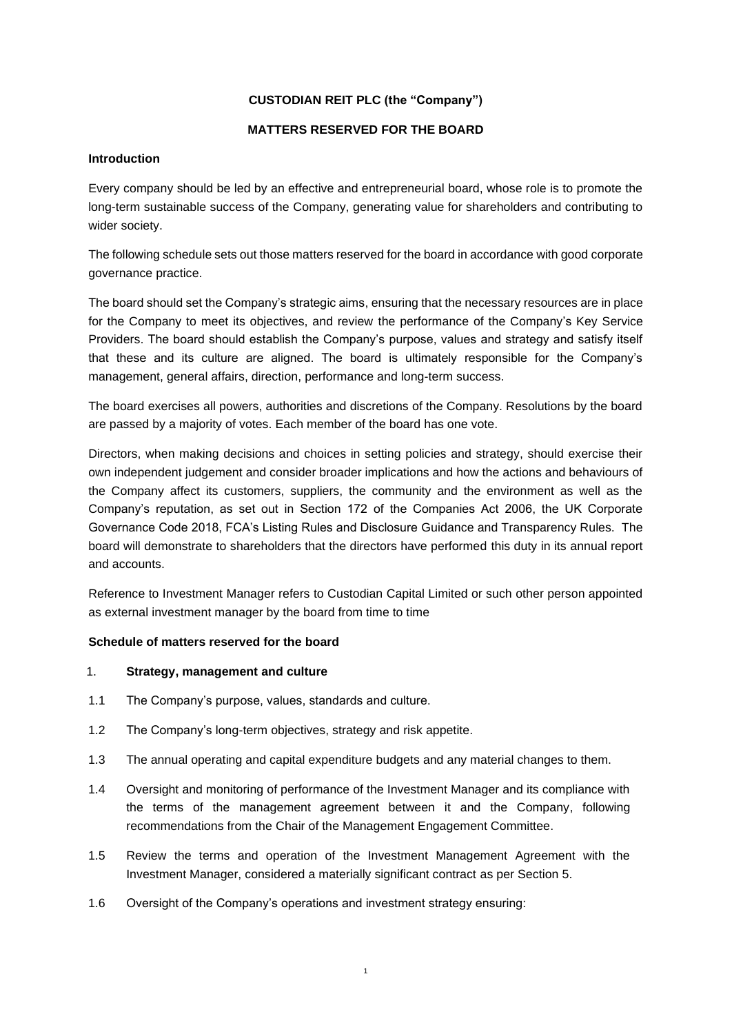# **CUSTODIAN REIT PLC (the "Company")**

### **MATTERS RESERVED FOR THE BOARD**

#### **Introduction**

Every company should be led by an effective and entrepreneurial board, whose role is to promote the long-term sustainable success of the Company, generating value for shareholders and contributing to wider society.

The following schedule sets out those matters reserved for the board in accordance with good corporate governance practice.

The board should set the Company's strategic aims, ensuring that the necessary resources are in place for the Company to meet its objectives, and review the performance of the Company's Key Service Providers. The board should establish the Company's purpose, values and strategy and satisfy itself that these and its culture are aligned. The board is ultimately responsible for the Company's management, general affairs, direction, performance and long-term success.

The board exercises all powers, authorities and discretions of the Company. Resolutions by the board are passed by a majority of votes. Each member of the board has one vote.

Directors, when making decisions and choices in setting policies and strategy, should exercise their own independent judgement and consider broader implications and how the actions and behaviours of the Company affect its customers, suppliers, the community and the environment as well as the Company's reputation, as set out in Section 172 of the Companies Act 2006, the UK Corporate Governance Code 2018, FCA's Listing Rules and Disclosure Guidance and Transparency Rules. The board will demonstrate to shareholders that the directors have performed this duty in its annual report and accounts.

Reference to Investment Manager refers to Custodian Capital Limited or such other person appointed as external investment manager by the board from time to time

# **Schedule of matters reserved for the board**

#### 1. **Strategy, management and culture**

- 1.1 The Company's purpose, values, standards and culture.
- 1.2 The Company's long-term objectives, strategy and risk appetite.
- 1.3 The annual operating and capital expenditure budgets and any material changes to them.
- 1.4 Oversight and monitoring of performance of the Investment Manager and its compliance with the terms of the management agreement between it and the Company, following recommendations from the Chair of the Management Engagement Committee.
- 1.5 Review the terms and operation of the Investment Management Agreement with the Investment Manager, considered a materially significant contract as per Section 5.
- 1.6 Oversight of the Company's operations and investment strategy ensuring: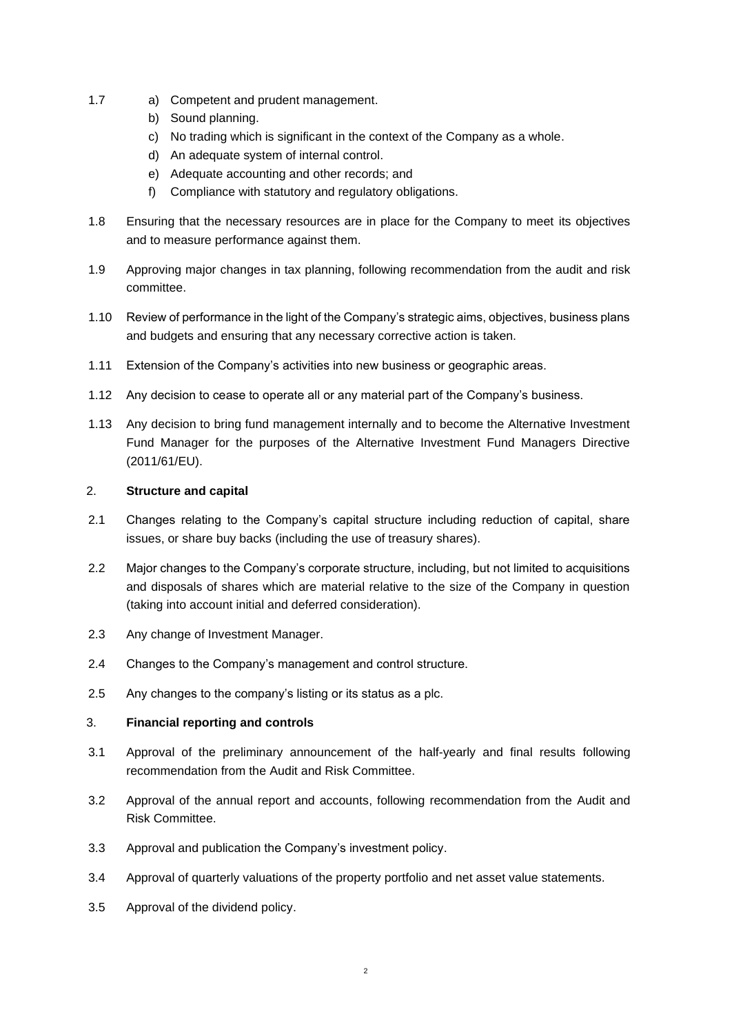- 1.7 a) Competent and prudent management.
	- b) Sound planning.
	- c) No trading which is significant in the context of the Company as a whole.
	- d) An adequate system of internal control.
	- e) Adequate accounting and other records; and
	- f) Compliance with statutory and regulatory obligations.
- 1.8 Ensuring that the necessary resources are in place for the Company to meet its objectives and to measure performance against them.
- 1.9 Approving major changes in tax planning, following recommendation from the audit and risk committee.
- 1.10 Review of performance in the light of the Company's strategic aims, objectives, business plans and budgets and ensuring that any necessary corrective action is taken.
- 1.11 Extension of the Company's activities into new business or geographic areas.
- 1.12 Any decision to cease to operate all or any material part of the Company's business.
- 1.13 Any decision to bring fund management internally and to become the Alternative Investment Fund Manager for the purposes of the Alternative Investment Fund Managers Directive (2011/61/EU).

### 2. **Structure and capital**

- 2.1 Changes relating to the Company's capital structure including reduction of capital, share issues, or share buy backs (including the use of treasury shares).
- 2.2 Major changes to the Company's corporate structure, including, but not limited to acquisitions and disposals of shares which are material relative to the size of the Company in question (taking into account initial and deferred consideration).
- 2.3 Any change of Investment Manager.
- 2.4 Changes to the Company's management and control structure.
- 2.5 Any changes to the company's listing or its status as a plc.

# 3. **Financial reporting and controls**

- 3.1 Approval of the preliminary announcement of the half-yearly and final results following recommendation from the Audit and Risk Committee.
- 3.2 Approval of the annual report and accounts, following recommendation from the Audit and Risk Committee.
- 3.3 Approval and publication the Company's investment policy.
- 3.4 Approval of quarterly valuations of the property portfolio and net asset value statements.
- 3.5 Approval of the dividend policy.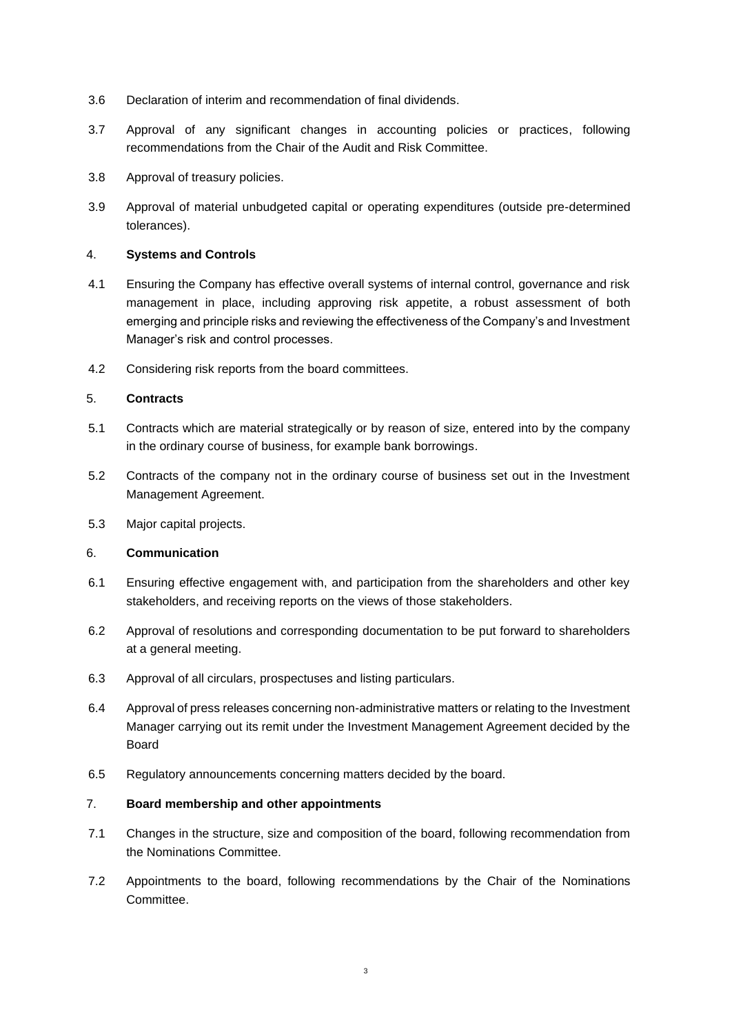- 3.6 Declaration of interim and recommendation of final dividends.
- 3.7 Approval of any significant changes in accounting policies or practices, following recommendations from the Chair of the Audit and Risk Committee.
- 3.8 Approval of treasury policies.
- 3.9 Approval of material unbudgeted capital or operating expenditures (outside pre-determined tolerances).

### 4. **Systems and Controls**

- 4.1 Ensuring the Company has effective overall systems of internal control, governance and risk management in place, including approving risk appetite, a robust assessment of both emerging and principle risks and reviewing the effectiveness of the Company's and Investment Manager's risk and control processes.
- 4.2 Considering risk reports from the board committees.

# 5. **Contracts**

- 5.1 Contracts which are material strategically or by reason of size, entered into by the company in the ordinary course of business, for example bank borrowings.
- 5.2 Contracts of the company not in the ordinary course of business set out in the Investment Management Agreement.
- 5.3 Major capital projects.

### 6. **Communication**

- 6.1 Ensuring effective engagement with, and participation from the shareholders and other key stakeholders, and receiving reports on the views of those stakeholders.
- 6.2 Approval of resolutions and corresponding documentation to be put forward to shareholders at a general meeting.
- 6.3 Approval of all circulars, prospectuses and listing particulars.
- 6.4 Approval of press releases concerning non-administrative matters or relating to the Investment Manager carrying out its remit under the Investment Management Agreement decided by the Board
- 6.5 Regulatory announcements concerning matters decided by the board.

# 7. **Board membership and other appointments**

- 7.1 Changes in the structure, size and composition of the board, following recommendation from the Nominations Committee.
- 7.2 Appointments to the board, following recommendations by the Chair of the Nominations Committee.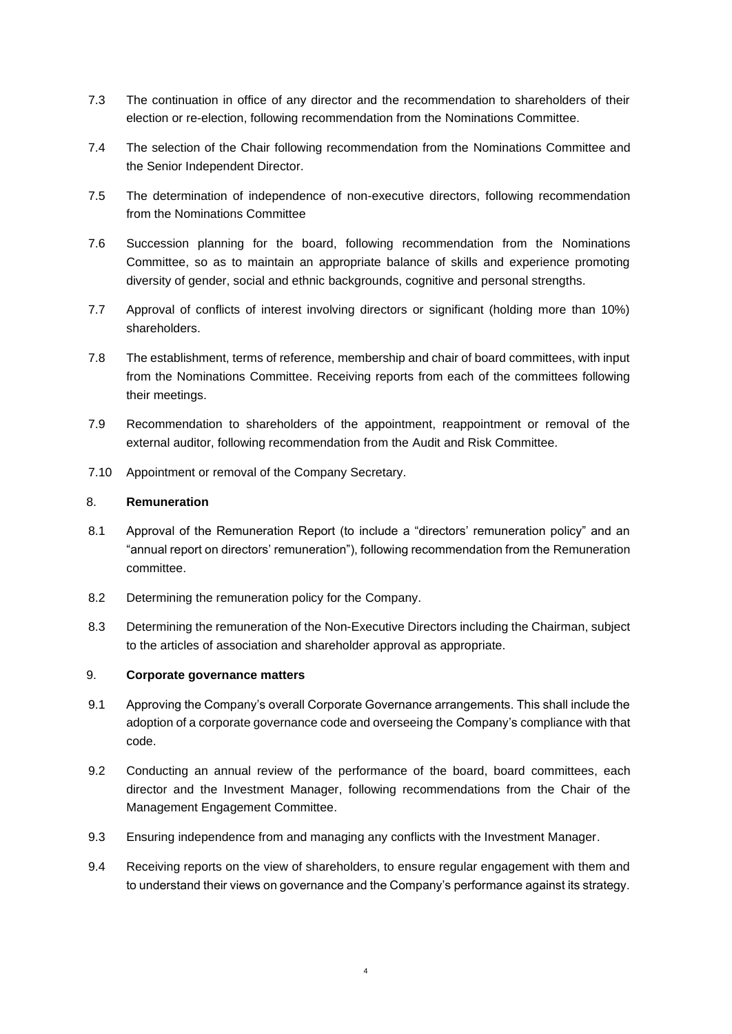- 7.3 The continuation in office of any director and the recommendation to shareholders of their election or re-election, following recommendation from the Nominations Committee.
- 7.4 The selection of the Chair following recommendation from the Nominations Committee and the Senior Independent Director.
- 7.5 The determination of independence of non-executive directors, following recommendation from the Nominations Committee
- 7.6 Succession planning for the board, following recommendation from the Nominations Committee, so as to maintain an appropriate balance of skills and experience promoting diversity of gender, social and ethnic backgrounds, cognitive and personal strengths.
- 7.7 Approval of conflicts of interest involving directors or significant (holding more than 10%) shareholders.
- 7.8 The establishment, terms of reference, membership and chair of board committees, with input from the Nominations Committee. Receiving reports from each of the committees following their meetings.
- 7.9 Recommendation to shareholders of the appointment, reappointment or removal of the external auditor, following recommendation from the Audit and Risk Committee.
- 7.10 Appointment or removal of the Company Secretary.

### 8. **Remuneration**

- 8.1 Approval of the Remuneration Report (to include a "directors' remuneration policy" and an "annual report on directors' remuneration"), following recommendation from the Remuneration committee.
- 8.2 Determining the remuneration policy for the Company.
- 8.3 Determining the remuneration of the Non-Executive Directors including the Chairman, subject to the articles of association and shareholder approval as appropriate.

### 9. **Corporate governance matters**

- 9.1 Approving the Company's overall Corporate Governance arrangements. This shall include the adoption of a corporate governance code and overseeing the Company's compliance with that code.
- 9.2 Conducting an annual review of the performance of the board, board committees, each director and the Investment Manager, following recommendations from the Chair of the Management Engagement Committee.
- 9.3 Ensuring independence from and managing any conflicts with the Investment Manager.
- 9.4 Receiving reports on the view of shareholders, to ensure regular engagement with them and to understand their views on governance and the Company's performance against its strategy.